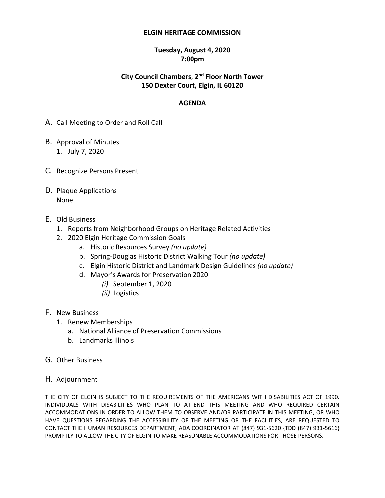#### **ELGIN HERITAGE COMMISSION**

### **Tuesday, August 4, 2020 7:00pm**

## **City Council Chambers, 2 nd Floor North Tower 150 Dexter Court, Elgin, IL 60120**

### **AGENDA**

- A. Call Meeting to Order and Roll Call
- B. Approval of Minutes 1. July 7, 2020
- C. Recognize Persons Present
- D. Plaque Applications None
- E. Old Business
	- 1. Reports from Neighborhood Groups on Heritage Related Activities
	- 2. 2020 Elgin Heritage Commission Goals
		- a. Historic Resources Survey *(no update)*
		- b. Spring-Douglas Historic District Walking Tour *(no update)*
		- c. Elgin Historic District and Landmark Design Guidelines *(no update)*
		- d. Mayor's Awards for Preservation 2020
			- *(i)* September 1, 2020
			- *(ii)* Logistics
- F. New Business
	- 1. Renew Memberships
		- a. National Alliance of Preservation Commissions
		- b. Landmarks Illinois
- G. Other Business
- H. Adjournment

THE CITY OF ELGIN IS SUBJECT TO THE REQUIREMENTS OF THE AMERICANS WITH DISABILITIES ACT OF 1990. INDIVIDUALS WITH DISABILITIES WHO PLAN TO ATTEND THIS MEETING AND WHO REQUIRED CERTAIN ACCOMMODATIONS IN ORDER TO ALLOW THEM TO OBSERVE AND/OR PARTICIPATE IN THIS MEETING, OR WHO HAVE QUESTIONS REGARDING THE ACCESSIBILITY OF THE MEETING OR THE FACILITIES, ARE REQUESTED TO CONTACT THE HUMAN RESOURCES DEPARTMENT, ADA COORDINATOR AT (847) 931-5620 {TDD (847) 931-5616} PROMPTLY TO ALLOW THE CITY OF ELGIN TO MAKE REASONABLE ACCOMMODATIONS FOR THOSE PERSONS.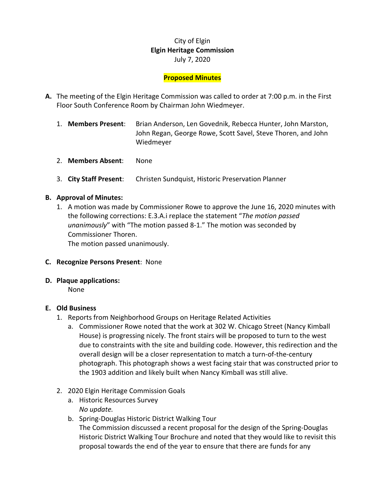# City of Elgin **Elgin Heritage Commission** July 7, 2020

## **Proposed Minutes**

- **A.** The meeting of the Elgin Heritage Commission was called to order at 7:00 p.m. in the First Floor South Conference Room by Chairman John Wiedmeyer.
	- 1. **Members Present**: Brian Anderson, Len Govednik, Rebecca Hunter, John Marston, John Regan, George Rowe, Scott Savel, Steve Thoren, and John Wiedmeyer
	- 2. **Members Absent**: None
	- 3. **City Staff Present**: Christen Sundquist, Historic Preservation Planner

### **B. Approval of Minutes:**

1. A motion was made by Commissioner Rowe to approve the June 16, 2020 minutes with the following corrections: E.3.A.i replace the statement "*The motion passed unanimously*" with "The motion passed 8-1." The motion was seconded by Commissioner Thoren.

The motion passed unanimously.

#### **C. Recognize Persons Present**: None

#### **D. Plaque applications:**

None

#### **E. Old Business**

- 1. Reports from Neighborhood Groups on Heritage Related Activities
	- a. Commissioner Rowe noted that the work at 302 W. Chicago Street (Nancy Kimball House) is progressing nicely. The front stairs will be proposed to turn to the west due to constraints with the site and building code. However, this redirection and the overall design will be a closer representation to match a turn-of-the-century photograph. This photograph shows a west facing stair that was constructed prior to the 1903 addition and likely built when Nancy Kimball was still alive.
- 2. 2020 Elgin Heritage Commission Goals
	- a. Historic Resources Survey *No update.*
	- b. Spring-Douglas Historic District Walking Tour The Commission discussed a recent proposal for the design of the Spring-Douglas Historic District Walking Tour Brochure and noted that they would like to revisit this proposal towards the end of the year to ensure that there are funds for any